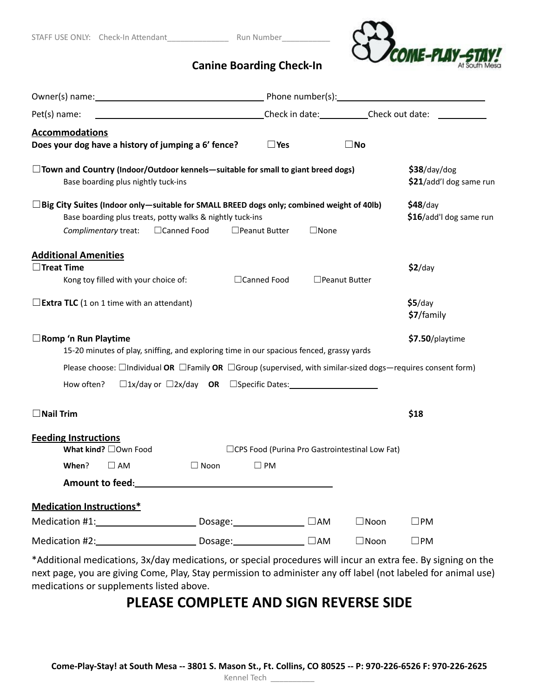

## **Canine Boarding Check-In**

| Pet(s) name:                                                                                                                                                                                        |                      |               |                      |                                                  |                                         |
|-----------------------------------------------------------------------------------------------------------------------------------------------------------------------------------------------------|----------------------|---------------|----------------------|--------------------------------------------------|-----------------------------------------|
| <b>Accommodations</b><br>Does your dog have a history of jumping a 6' fence?                                                                                                                        |                      | $\square$ Yes |                      | $\square$ No                                     |                                         |
| $\Box$ Town and Country (Indoor/Outdoor kennels—suitable for small to giant breed dogs)<br>Base boarding plus nightly tuck-ins                                                                      |                      |               |                      |                                                  | \$38/day/dog<br>\$21/add'l dog same run |
| $\Box$ Big City Suites (Indoor only—suitable for SMALL BREED dogs only; combined weight of 40lb)<br>Base boarding plus treats, potty walks & nightly tuck-ins<br>Complimentary treat: □ Canned Food | $\Box$ Peanut Butter |               | $\Box$ None          |                                                  | $$48$ /day<br>\$16/add'l dog same run   |
| <b>Additional Amenities</b><br>$\Box$ Treat Time<br>Kong toy filled with your choice of:                                                                                                            |                      | □Canned Food  | $\Box$ Peanut Butter |                                                  | $$2$ /day                               |
| $\Box$ <b>Extra TLC</b> (1 on 1 time with an attendant)                                                                                                                                             |                      |               |                      |                                                  | $$5$ /day<br>\$7/family                 |
| $\Box$ Romp 'n Run Playtime<br>15-20 minutes of play, sniffing, and exploring time in our spacious fenced, grassy yards                                                                             |                      |               |                      |                                                  | \$7.50/playtime                         |
| Please choose: $\Box$ Individual OR $\Box$ Family OR $\Box$ Group (supervised, with similar-sized dogs—requires consent form)                                                                       |                      |               |                      |                                                  |                                         |
| How often?                                                                                                                                                                                          |                      |               |                      |                                                  |                                         |
| $\Box$ Nail Trim                                                                                                                                                                                    |                      |               |                      |                                                  | \$18                                    |
| <b>Feeding Instructions</b><br>What kind? □Own Food                                                                                                                                                 |                      |               |                      | □ CPS Food (Purina Pro Gastrointestinal Low Fat) |                                         |
| When?<br>$\square$ AM                                                                                                                                                                               | $\Box$ Noon          | $\square$ PM  |                      |                                                  |                                         |
| Amount to feed:                                                                                                                                                                                     |                      |               |                      |                                                  |                                         |
| <b>Medication Instructions*</b>                                                                                                                                                                     |                      |               |                      |                                                  |                                         |
|                                                                                                                                                                                                     |                      |               |                      | $\Box$ Noon                                      | $\Box$ PM                               |
|                                                                                                                                                                                                     |                      |               |                      | $\Box$ Noon                                      | $\Box$ PM                               |
| *Additional modications, 2x/day modications, as special procedures will insur an outra fee. By signing on the                                                                                       |                      |               |                      |                                                  |                                         |

\*Additional medications, 3x/day medications, or special procedures will incur an extra fee. By signing on the next page, you are giving Come, Play, Stay permission to administer any off label (not labeled for animal use) medications or supplements listed above.

## **PLEASE COMPLETE AND SIGN REVERSE SIDE**

Come-Play-Stay! at South Mesa -- 3801 S. Mason St., Ft. Collins, CO 80525 -- P: 970-226-6526 F: 970-226-2625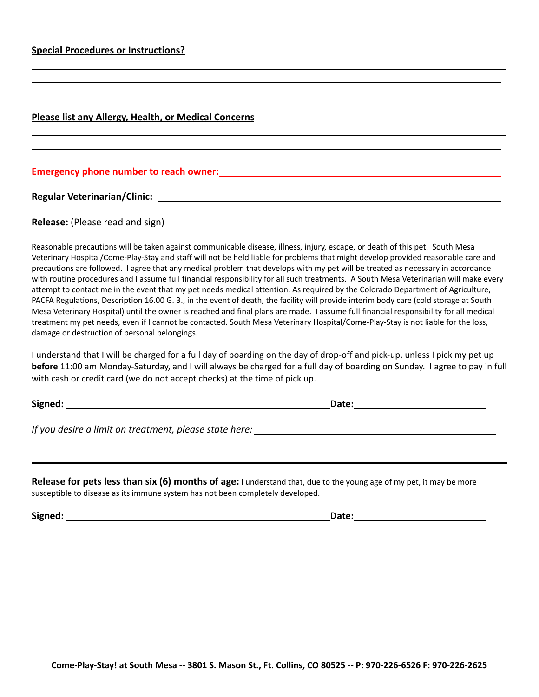## **Please list any Allergy, Health, or Medical Concerns**

## **Emergency phone number to reach owner:**

**Regular Veterinarian/Clinic:**

**Release:** (Please read and sign)

Reasonable precautions will be taken against communicable disease, illness, injury, escape, or death of this pet. South Mesa Veterinary Hospital/Come-Play-Stay and staff will not be held liable for problems that might develop provided reasonable care and precautions are followed. I agree that any medical problem that develops with my pet will be treated as necessary in accordance with routine procedures and I assume full financial responsibility for all such treatments. A South Mesa Veterinarian will make every attempt to contact me in the event that my pet needs medical attention. As required by the Colorado Department of Agriculture, PACFA Regulations, Description 16.00 G. 3., in the event of death, the facility will provide interim body care (cold storage at South Mesa Veterinary Hospital) until the owner is reached and final plans are made. I assume full financial responsibility for all medical treatment my pet needs, even if I cannot be contacted. South Mesa Veterinary Hospital/Come-Play-Stay is not liable for the loss, damage or destruction of personal belongings.

I understand that I will be charged for a full day of boarding on the day of drop-off and pick-up, unless I pick my pet up **before** 11:00 am Monday-Saturday, and I will always be charged for a full day of boarding on Sunday. I agree to pay in full with cash or credit card (we do not accept checks) at the time of pick up.

**Signed: Date:** 

*If you desire a limit on treatment, please state here:*

**Release for pets less than six (6) months of age:** I understand that, due to the young age of my pet, it may be more susceptible to disease as its immune system has not been completely developed.

**Signed: Date:**